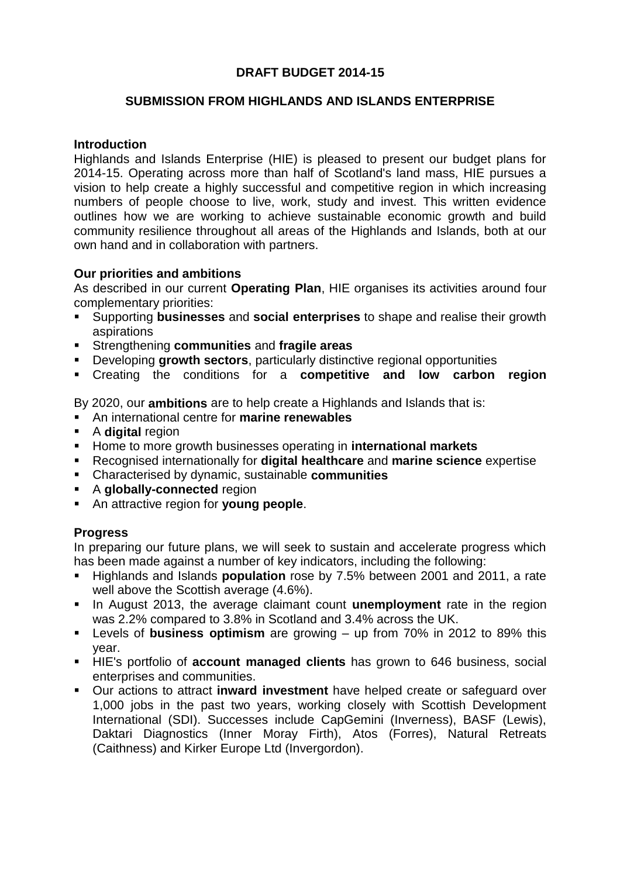# **DRAFT BUDGET 2014-15**

## **SUBMISSION FROM HIGHLANDS AND ISLANDS ENTERPRISE**

### **Introduction**

Highlands and Islands Enterprise (HIE) is pleased to present our budget plans for 2014-15. Operating across more than half of Scotland's land mass, HIE pursues a vision to help create a highly successful and competitive region in which increasing numbers of people choose to live, work, study and invest. This written evidence outlines how we are working to achieve sustainable economic growth and build community resilience throughout all areas of the Highlands and Islands, both at our own hand and in collaboration with partners.

### **Our priorities and ambitions**

As described in our current **Operating Plan**, HIE organises its activities around four complementary priorities:

- Supporting **businesses** and **social enterprises** to shape and realise their growth aspirations
- Strengthening **communities** and **fragile areas**
- Developing **growth sectors**, particularly distinctive regional opportunities
- Creating the conditions for a **competitive and low carbon region**

By 2020, our **ambitions** are to help create a Highlands and Islands that is:

- An international centre for **marine renewables**
- **A** digital region
- Home to more growth businesses operating in **international markets**
- Recognised internationally for **digital healthcare** and **marine science** expertise
- Characterised by dynamic, sustainable **communities**
- **A globally-connected** region
- An attractive region for **young people**.

#### **Progress**

In preparing our future plans, we will seek to sustain and accelerate progress which has been made against a number of key indicators, including the following:

- Highlands and Islands **population** rose by 7.5% between 2001 and 2011, a rate well above the Scottish average (4.6%).
- In August 2013, the average claimant count **unemployment** rate in the region was 2.2% compared to 3.8% in Scotland and 3.4% across the UK.
- Levels of **business optimism** are growing up from 70% in 2012 to 89% this year.
- HIE's portfolio of **account managed clients** has grown to 646 business, social enterprises and communities.
- Our actions to attract **inward investment** have helped create or safeguard over 1,000 jobs in the past two years, working closely with Scottish Development International (SDI). Successes include CapGemini (Inverness), BASF (Lewis), Daktari Diagnostics (Inner Moray Firth), Atos (Forres), Natural Retreats (Caithness) and Kirker Europe Ltd (Invergordon).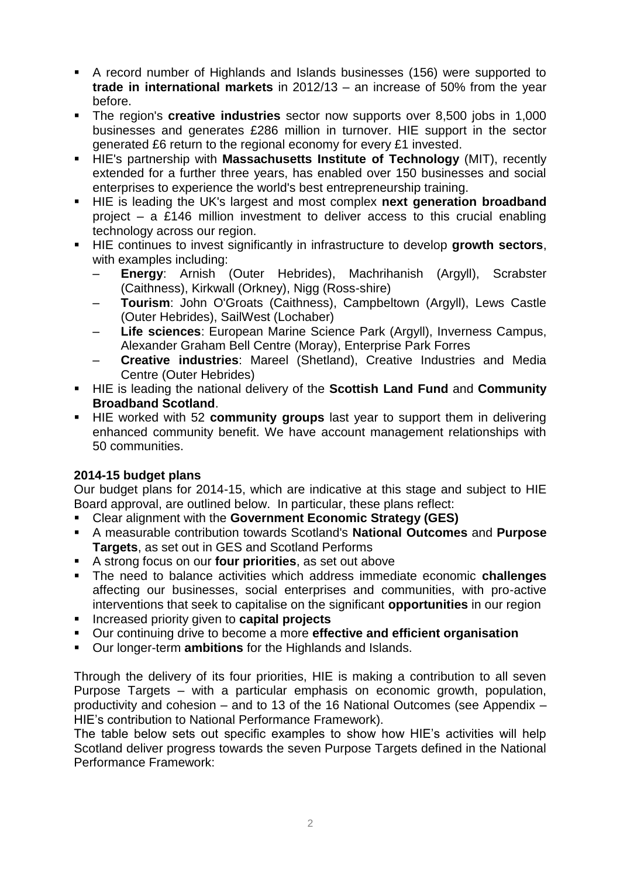- A record number of Highlands and Islands businesses (156) were supported to **trade in international markets** in 2012/13 – an increase of 50% from the year before.
- The region's **creative industries** sector now supports over 8,500 jobs in 1,000 businesses and generates £286 million in turnover. HIE support in the sector generated £6 return to the regional economy for every £1 invested.
- HIE's partnership with **Massachusetts Institute of Technology** (MIT), recently extended for a further three years, has enabled over 150 businesses and social enterprises to experience the world's best entrepreneurship training.
- **HIE** is leading the UK's largest and most complex next generation broadband project – a £146 million investment to deliver access to this crucial enabling technology across our region.
- HIE continues to invest significantly in infrastructure to develop **growth sectors**, with examples including:
	- **Energy**: Arnish (Outer Hebrides), Machrihanish (Argyll), Scrabster (Caithness), Kirkwall (Orkney), Nigg (Ross-shire)
	- **Tourism**: John O'Groats (Caithness), Campbeltown (Argyll), Lews Castle (Outer Hebrides), SailWest (Lochaber)
	- **Life sciences**: European Marine Science Park (Argyll), Inverness Campus, Alexander Graham Bell Centre (Moray), Enterprise Park Forres
	- **Creative industries**: Mareel (Shetland), Creative Industries and Media Centre (Outer Hebrides)
- HIE is leading the national delivery of the **Scottish Land Fund** and **Community Broadband Scotland**.
- HIE worked with 52 **community groups** last year to support them in delivering enhanced community benefit. We have account management relationships with 50 communities.

# **2014-15 budget plans**

Our budget plans for 2014-15, which are indicative at this stage and subject to HIE Board approval, are outlined below. In particular, these plans reflect:

- Clear alignment with the **Government Economic Strategy (GES)**
- A measurable contribution towards Scotland's **National Outcomes** and **Purpose Targets**, as set out in GES and Scotland Performs
- A strong focus on our **four priorities**, as set out above
- The need to balance activities which address immediate economic **challenges** affecting our businesses, social enterprises and communities, with pro-active interventions that seek to capitalise on the significant **opportunities** in our region
- **Increased priority given to capital projects**
- Our continuing drive to become a more **effective and efficient organisation**
- Our longer-term **ambitions** for the Highlands and Islands.

Through the delivery of its four priorities, HIE is making a contribution to all seven Purpose Targets – with a particular emphasis on economic growth, population, productivity and cohesion – and to 13 of the 16 National Outcomes (see Appendix – HIE's contribution to National Performance Framework).

The table below sets out specific examples to show how HIE's activities will help Scotland deliver progress towards the seven Purpose Targets defined in the National Performance Framework: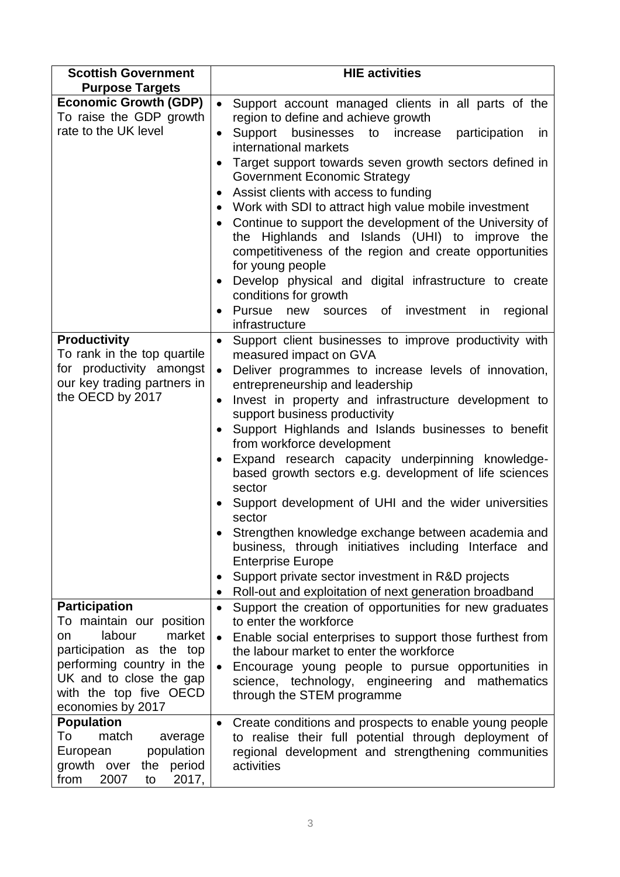| <b>Scottish Government</b>                                                                                                                                                            | <b>HIE activities</b>                                                                                                                                                                                                                                                                                                                                                                                                                                                                                                                                                                                                                                                                                                                                                                                                                                              |
|---------------------------------------------------------------------------------------------------------------------------------------------------------------------------------------|--------------------------------------------------------------------------------------------------------------------------------------------------------------------------------------------------------------------------------------------------------------------------------------------------------------------------------------------------------------------------------------------------------------------------------------------------------------------------------------------------------------------------------------------------------------------------------------------------------------------------------------------------------------------------------------------------------------------------------------------------------------------------------------------------------------------------------------------------------------------|
| <b>Purpose Targets</b>                                                                                                                                                                |                                                                                                                                                                                                                                                                                                                                                                                                                                                                                                                                                                                                                                                                                                                                                                                                                                                                    |
| <b>Economic Growth (GDP)</b><br>To raise the GDP growth<br>rate to the UK level                                                                                                       | $\bullet$<br>Support account managed clients in all parts of the<br>region to define and achieve growth<br>Support<br>businesses<br>to<br>increase<br>participation<br><i>in</i><br>$\bullet$<br>international markets<br>Target support towards seven growth sectors defined in<br><b>Government Economic Strategy</b><br>Assist clients with access to funding<br>$\bullet$<br>Work with SDI to attract high value mobile investment<br>Continue to support the development of the University of<br>the Highlands and Islands (UHI) to improve the<br>competitiveness of the region and create opportunities<br>for young people<br>Develop physical and digital infrastructure to create<br>conditions for growth<br>Pursue new sources of investment in<br>regional<br>infrastructure                                                                          |
| <b>Productivity</b><br>To rank in the top quartile<br>for productivity amongst<br>our key trading partners in<br>the OECD by 2017                                                     | Support client businesses to improve productivity with<br>$\bullet$<br>measured impact on GVA<br>Deliver programmes to increase levels of innovation,<br>$\bullet$<br>entrepreneurship and leadership<br>Invest in property and infrastructure development to<br>$\bullet$<br>support business productivity<br>Support Highlands and Islands businesses to benefit<br>from workforce development<br>Expand research capacity underpinning knowledge-<br>$\bullet$<br>based growth sectors e.g. development of life sciences<br>sector<br>Support development of UHI and the wider universities<br>sector<br>Strengthen knowledge exchange between academia and<br>business, through initiatives including Interface and<br><b>Enterprise Europe</b><br>Support private sector investment in R&D projects<br>Roll-out and exploitation of next generation broadband |
| <b>Participation</b>                                                                                                                                                                  | Support the creation of opportunities for new graduates<br>$\bullet$                                                                                                                                                                                                                                                                                                                                                                                                                                                                                                                                                                                                                                                                                                                                                                                               |
| To maintain our position<br>labour<br>market<br>on<br>participation as the top<br>performing country in the<br>UK and to close the gap<br>with the top five OECD<br>economies by 2017 | to enter the workforce<br>Enable social enterprises to support those furthest from<br>$\bullet$<br>the labour market to enter the workforce<br>Encourage young people to pursue opportunities in<br>science, technology, engineering and mathematics<br>through the STEM programme                                                                                                                                                                                                                                                                                                                                                                                                                                                                                                                                                                                 |
| <b>Population</b><br>To<br>match<br>average<br>population<br>European<br>growth over<br>the period<br>2007<br>2017,<br>from<br>to                                                     | Create conditions and prospects to enable young people<br>$\bullet$<br>to realise their full potential through deployment of<br>regional development and strengthening communities<br>activities                                                                                                                                                                                                                                                                                                                                                                                                                                                                                                                                                                                                                                                                   |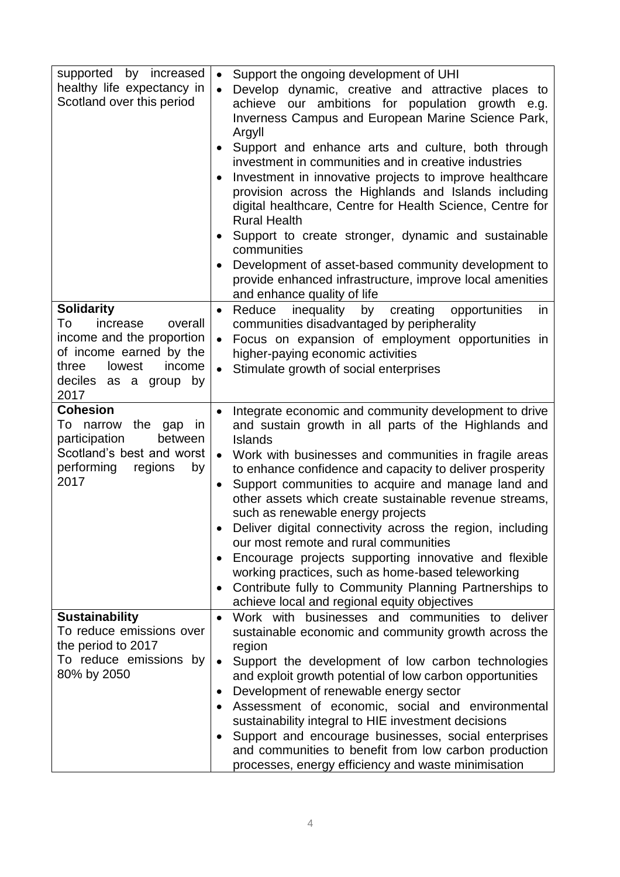| supported by increased<br>healthy life expectancy in<br>Scotland over this period                                                                                    | Support the ongoing development of UHI<br>$\bullet$<br>Develop dynamic, creative and attractive places to<br>achieve our ambitions for population growth e.g.<br>Inverness Campus and European Marine Science Park,<br>Argyll<br>Support and enhance arts and culture, both through<br>٠<br>investment in communities and in creative industries<br>Investment in innovative projects to improve healthcare<br>provision across the Highlands and Islands including<br>digital healthcare, Centre for Health Science, Centre for<br><b>Rural Health</b><br>Support to create stronger, dynamic and sustainable<br>communities<br>Development of asset-based community development to<br>provide enhanced infrastructure, improve local amenities<br>and enhance quality of life |
|----------------------------------------------------------------------------------------------------------------------------------------------------------------------|---------------------------------------------------------------------------------------------------------------------------------------------------------------------------------------------------------------------------------------------------------------------------------------------------------------------------------------------------------------------------------------------------------------------------------------------------------------------------------------------------------------------------------------------------------------------------------------------------------------------------------------------------------------------------------------------------------------------------------------------------------------------------------|
| <b>Solidarity</b><br>To<br>increase<br>overall<br>income and the proportion<br>of income earned by the<br>three<br>lowest<br>income<br>deciles as a group by<br>2017 | inequality<br>Reduce<br>by<br>creating<br>opportunities<br>in<br>$\bullet$<br>communities disadvantaged by peripherality<br>Focus on expansion of employment opportunities in<br>higher-paying economic activities<br>Stimulate growth of social enterprises                                                                                                                                                                                                                                                                                                                                                                                                                                                                                                                    |
| <b>Cohesion</b><br>To<br>narrow the gap<br><i>in</i><br>participation<br>between<br>Scotland's best and worst<br>performing<br>regions<br>by<br>2017                 | Integrate economic and community development to drive<br>$\bullet$<br>and sustain growth in all parts of the Highlands and<br>Islands<br>Work with businesses and communities in fragile areas<br>to enhance confidence and capacity to deliver prosperity<br>Support communities to acquire and manage land and<br>$\bullet$<br>other assets which create sustainable revenue streams,<br>such as renewable energy projects<br>Deliver digital connectivity across the region, including<br>our most remote and rural communities<br>Encourage projects supporting innovative and flexible<br>working practices, such as home-based teleworking<br>Contribute fully to Community Planning Partnerships to<br>achieve local and regional equity objectives                      |
| <b>Sustainability</b><br>To reduce emissions over<br>the period to 2017<br>To reduce emissions by<br>80% by 2050                                                     | Work with businesses and communities to deliver<br>$\bullet$<br>sustainable economic and community growth across the<br>region<br>Support the development of low carbon technologies<br>$\bullet$<br>and exploit growth potential of low carbon opportunities<br>Development of renewable energy sector<br>٠<br>Assessment of economic, social and environmental<br>sustainability integral to HIE investment decisions<br>Support and encourage businesses, social enterprises<br>and communities to benefit from low carbon production<br>processes, energy efficiency and waste minimisation                                                                                                                                                                                 |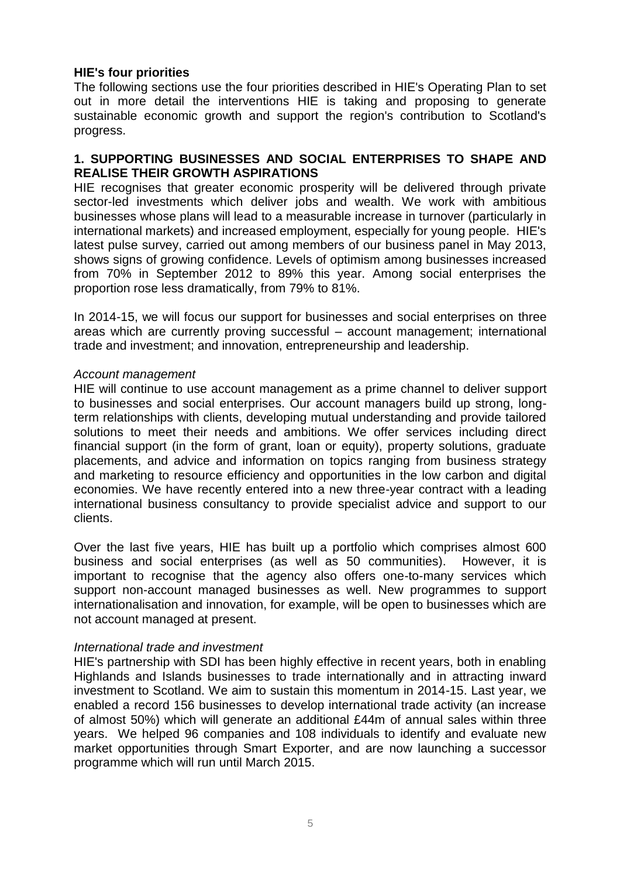# **HIE's four priorities**

The following sections use the four priorities described in HIE's Operating Plan to set out in more detail the interventions HIE is taking and proposing to generate sustainable economic growth and support the region's contribution to Scotland's progress.

## **1. SUPPORTING BUSINESSES AND SOCIAL ENTERPRISES TO SHAPE AND REALISE THEIR GROWTH ASPIRATIONS**

HIE recognises that greater economic prosperity will be delivered through private sector-led investments which deliver jobs and wealth. We work with ambitious businesses whose plans will lead to a measurable increase in turnover (particularly in international markets) and increased employment, especially for young people. HIE's latest pulse survey, carried out among members of our business panel in May 2013, shows signs of growing confidence. Levels of optimism among businesses increased from 70% in September 2012 to 89% this year. Among social enterprises the proportion rose less dramatically, from 79% to 81%.

In 2014-15, we will focus our support for businesses and social enterprises on three areas which are currently proving successful – account management; international trade and investment; and innovation, entrepreneurship and leadership.

### *Account management*

HIE will continue to use account management as a prime channel to deliver support to businesses and social enterprises. Our account managers build up strong, longterm relationships with clients, developing mutual understanding and provide tailored solutions to meet their needs and ambitions. We offer services including direct financial support (in the form of grant, loan or equity), property solutions, graduate placements, and advice and information on topics ranging from business strategy and marketing to resource efficiency and opportunities in the low carbon and digital economies. We have recently entered into a new three-year contract with a leading international business consultancy to provide specialist advice and support to our clients.

Over the last five years, HIE has built up a portfolio which comprises almost 600 business and social enterprises (as well as 50 communities). However, it is important to recognise that the agency also offers one-to-many services which support non-account managed businesses as well. New programmes to support internationalisation and innovation, for example, will be open to businesses which are not account managed at present.

#### *International trade and investment*

HIE's partnership with SDI has been highly effective in recent years, both in enabling Highlands and Islands businesses to trade internationally and in attracting inward investment to Scotland. We aim to sustain this momentum in 2014-15. Last year, we enabled a record 156 businesses to develop international trade activity (an increase of almost 50%) which will generate an additional £44m of annual sales within three years. We helped 96 companies and 108 individuals to identify and evaluate new market opportunities through Smart Exporter, and are now launching a successor programme which will run until March 2015.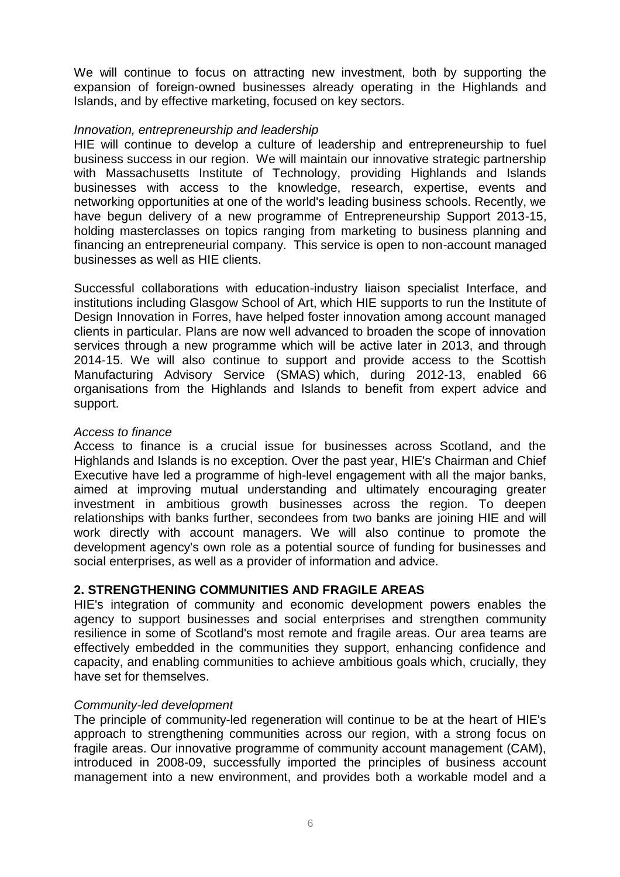We will continue to focus on attracting new investment, both by supporting the expansion of foreign-owned businesses already operating in the Highlands and Islands, and by effective marketing, focused on key sectors.

## *Innovation, entrepreneurship and leadership*

HIE will continue to develop a culture of leadership and entrepreneurship to fuel business success in our region. We will maintain our innovative strategic partnership with Massachusetts Institute of Technology, providing Highlands and Islands businesses with access to the knowledge, research, expertise, events and networking opportunities at one of the world's leading business schools. Recently, we have begun delivery of a new programme of Entrepreneurship Support 2013-15, holding masterclasses on topics ranging from marketing to business planning and financing an entrepreneurial company. This service is open to non-account managed businesses as well as HIE clients.

Successful collaborations with education-industry liaison specialist Interface, and institutions including Glasgow School of Art, which HIE supports to run the Institute of Design Innovation in Forres, have helped foster innovation among account managed clients in particular. Plans are now well advanced to broaden the scope of innovation services through a new programme which will be active later in 2013, and through 2014-15. We will also continue to support and provide access to the Scottish Manufacturing Advisory Service (SMAS) which, during 2012-13, enabled 66 organisations from the Highlands and Islands to benefit from expert advice and support.

#### *Access to finance*

Access to finance is a crucial issue for businesses across Scotland, and the Highlands and Islands is no exception. Over the past year, HIE's Chairman and Chief Executive have led a programme of high-level engagement with all the major banks, aimed at improving mutual understanding and ultimately encouraging greater investment in ambitious growth businesses across the region. To deepen relationships with banks further, secondees from two banks are joining HIE and will work directly with account managers. We will also continue to promote the development agency's own role as a potential source of funding for businesses and social enterprises, as well as a provider of information and advice.

# **2. STRENGTHENING COMMUNITIES AND FRAGILE AREAS**

HIE's integration of community and economic development powers enables the agency to support businesses and social enterprises and strengthen community resilience in some of Scotland's most remote and fragile areas. Our area teams are effectively embedded in the communities they support, enhancing confidence and capacity, and enabling communities to achieve ambitious goals which, crucially, they have set for themselves.

#### *Community-led development*

The principle of community-led regeneration will continue to be at the heart of HIE's approach to strengthening communities across our region, with a strong focus on fragile areas. Our innovative programme of community account management (CAM), introduced in 2008-09, successfully imported the principles of business account management into a new environment, and provides both a workable model and a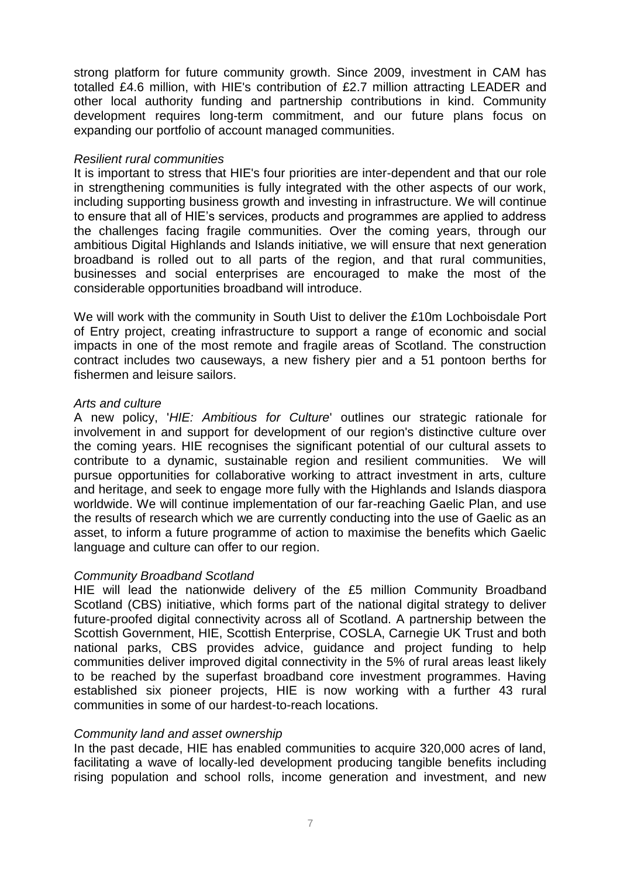strong platform for future community growth. Since 2009, investment in CAM has totalled £4.6 million, with HIE's contribution of £2.7 million attracting LEADER and other local authority funding and partnership contributions in kind. Community development requires long-term commitment, and our future plans focus on expanding our portfolio of account managed communities.

### *Resilient rural communities*

It is important to stress that HIE's four priorities are inter-dependent and that our role in strengthening communities is fully integrated with the other aspects of our work, including supporting business growth and investing in infrastructure. We will continue to ensure that all of HIE's services, products and programmes are applied to address the challenges facing fragile communities. Over the coming years, through our ambitious Digital Highlands and Islands initiative, we will ensure that next generation broadband is rolled out to all parts of the region, and that rural communities, businesses and social enterprises are encouraged to make the most of the considerable opportunities broadband will introduce.

We will work with the community in South Uist to deliver the £10m Lochboisdale Port of Entry project, creating infrastructure to support a range of economic and social impacts in one of the most remote and fragile areas of Scotland. The construction contract includes two causeways, a new fishery pier and a 51 pontoon berths for fishermen and leisure sailors.

### *Arts and culture*

A new policy, '*HIE: Ambitious for Culture*' outlines our strategic rationale for involvement in and support for development of our region's distinctive culture over the coming years. HIE recognises the significant potential of our cultural assets to contribute to a dynamic, sustainable region and resilient communities. We will pursue opportunities for collaborative working to attract investment in arts, culture and heritage, and seek to engage more fully with the Highlands and Islands diaspora worldwide. We will continue implementation of our far-reaching Gaelic Plan, and use the results of research which we are currently conducting into the use of Gaelic as an asset, to inform a future programme of action to maximise the benefits which Gaelic language and culture can offer to our region.

# *Community Broadband Scotland*

HIE will lead the nationwide delivery of the £5 million Community Broadband Scotland (CBS) initiative, which forms part of the national digital strategy to deliver future-proofed digital connectivity across all of Scotland. A partnership between the Scottish Government, HIE, Scottish Enterprise, COSLA, Carnegie UK Trust and both national parks, CBS provides advice, guidance and project funding to help communities deliver improved digital connectivity in the 5% of rural areas least likely to be reached by the superfast broadband core investment programmes. Having established six pioneer projects, HIE is now working with a further 43 rural communities in some of our hardest-to-reach locations.

#### *Community land and asset ownership*

In the past decade, HIE has enabled communities to acquire 320,000 acres of land, facilitating a wave of locally-led development producing tangible benefits including rising population and school rolls, income generation and investment, and new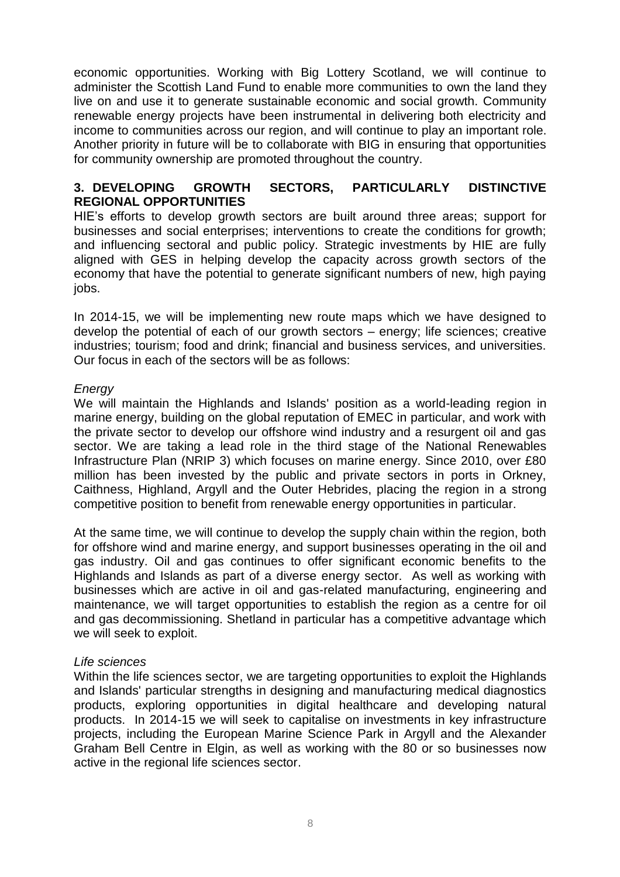economic opportunities. Working with Big Lottery Scotland, we will continue to administer the Scottish Land Fund to enable more communities to own the land they live on and use it to generate sustainable economic and social growth. Community renewable energy projects have been instrumental in delivering both electricity and income to communities across our region, and will continue to play an important role. Another priority in future will be to collaborate with BIG in ensuring that opportunities for community ownership are promoted throughout the country.

## **3. DEVELOPING GROWTH SECTORS, PARTICULARLY DISTINCTIVE REGIONAL OPPORTUNITIES**

HIE's efforts to develop growth sectors are built around three areas; support for businesses and social enterprises; interventions to create the conditions for growth; and influencing sectoral and public policy. Strategic investments by HIE are fully aligned with GES in helping develop the capacity across growth sectors of the economy that have the potential to generate significant numbers of new, high paying jobs.

In 2014-15, we will be implementing new route maps which we have designed to develop the potential of each of our growth sectors – energy; life sciences; creative industries; tourism; food and drink; financial and business services, and universities. Our focus in each of the sectors will be as follows:

# *Energy*

We will maintain the Highlands and Islands' position as a world-leading region in marine energy, building on the global reputation of EMEC in particular, and work with the private sector to develop our offshore wind industry and a resurgent oil and gas sector. We are taking a lead role in the third stage of the National Renewables Infrastructure Plan (NRIP 3) which focuses on marine energy. Since 2010, over £80 million has been invested by the public and private sectors in ports in Orkney, Caithness, Highland, Argyll and the Outer Hebrides, placing the region in a strong competitive position to benefit from renewable energy opportunities in particular.

At the same time, we will continue to develop the supply chain within the region, both for offshore wind and marine energy, and support businesses operating in the oil and gas industry. Oil and gas continues to offer significant economic benefits to the Highlands and Islands as part of a diverse energy sector. As well as working with businesses which are active in oil and gas-related manufacturing, engineering and maintenance, we will target opportunities to establish the region as a centre for oil and gas decommissioning. Shetland in particular has a competitive advantage which we will seek to exploit.

# *Life sciences*

Within the life sciences sector, we are targeting opportunities to exploit the Highlands and Islands' particular strengths in designing and manufacturing medical diagnostics products, exploring opportunities in digital healthcare and developing natural products. In 2014-15 we will seek to capitalise on investments in key infrastructure projects, including the European Marine Science Park in Argyll and the Alexander Graham Bell Centre in Elgin, as well as working with the 80 or so businesses now active in the regional life sciences sector.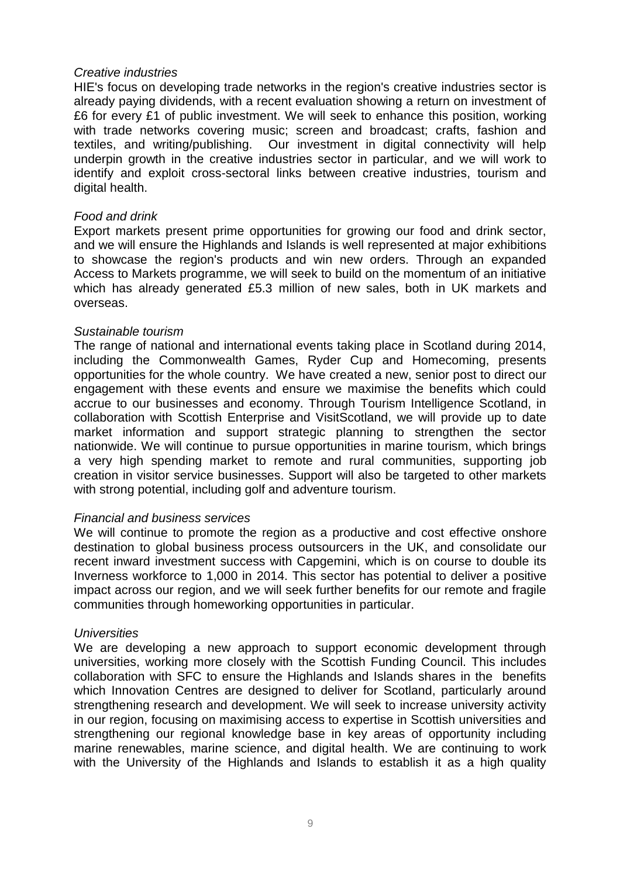### *Creative industries*

HIE's focus on developing trade networks in the region's creative industries sector is already paying dividends, with a recent evaluation showing a return on investment of £6 for every £1 of public investment. We will seek to enhance this position, working with trade networks covering music; screen and broadcast; crafts, fashion and textiles, and writing/publishing. Our investment in digital connectivity will help underpin growth in the creative industries sector in particular, and we will work to identify and exploit cross-sectoral links between creative industries, tourism and digital health.

## *Food and drink*

Export markets present prime opportunities for growing our food and drink sector, and we will ensure the Highlands and Islands is well represented at major exhibitions to showcase the region's products and win new orders. Through an expanded Access to Markets programme, we will seek to build on the momentum of an initiative which has already generated £5.3 million of new sales, both in UK markets and overseas.

#### *Sustainable tourism*

The range of national and international events taking place in Scotland during 2014, including the Commonwealth Games, Ryder Cup and Homecoming, presents opportunities for the whole country. We have created a new, senior post to direct our engagement with these events and ensure we maximise the benefits which could accrue to our businesses and economy. Through Tourism Intelligence Scotland, in collaboration with Scottish Enterprise and VisitScotland, we will provide up to date market information and support strategic planning to strengthen the sector nationwide. We will continue to pursue opportunities in marine tourism, which brings a very high spending market to remote and rural communities, supporting job creation in visitor service businesses. Support will also be targeted to other markets with strong potential, including golf and adventure tourism.

#### *Financial and business services*

We will continue to promote the region as a productive and cost effective onshore destination to global business process outsourcers in the UK, and consolidate our recent inward investment success with Capgemini, which is on course to double its Inverness workforce to 1,000 in 2014. This sector has potential to deliver a positive impact across our region, and we will seek further benefits for our remote and fragile communities through homeworking opportunities in particular.

#### *Universities*

We are developing a new approach to support economic development through universities, working more closely with the Scottish Funding Council. This includes collaboration with SFC to ensure the Highlands and Islands shares in the benefits which Innovation Centres are designed to deliver for Scotland, particularly around strengthening research and development. We will seek to increase university activity in our region, focusing on maximising access to expertise in Scottish universities and strengthening our regional knowledge base in key areas of opportunity including marine renewables, marine science, and digital health. We are continuing to work with the University of the Highlands and Islands to establish it as a high quality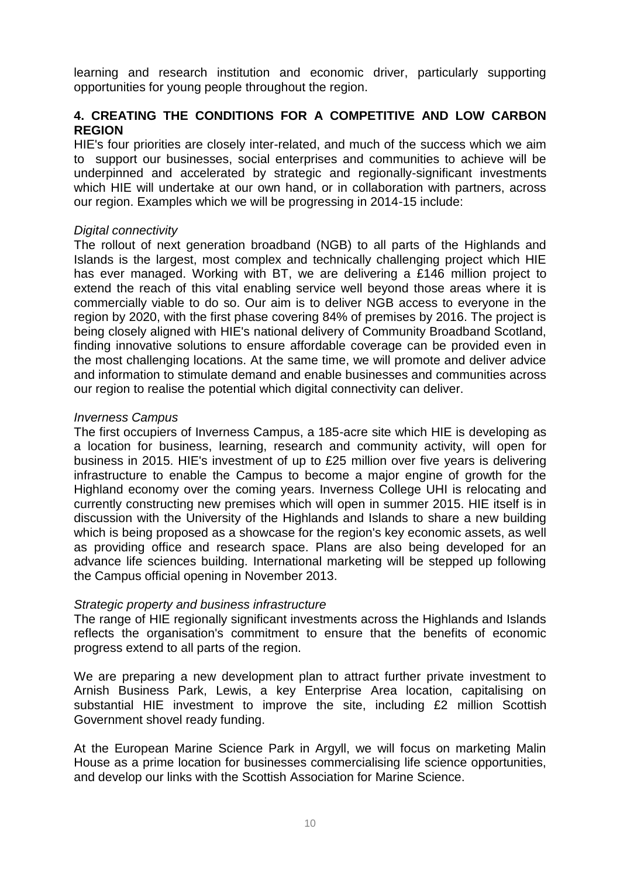learning and research institution and economic driver, particularly supporting opportunities for young people throughout the region.

# **4. CREATING THE CONDITIONS FOR A COMPETITIVE AND LOW CARBON REGION**

HIE's four priorities are closely inter-related, and much of the success which we aim to support our businesses, social enterprises and communities to achieve will be underpinned and accelerated by strategic and regionally-significant investments which HIE will undertake at our own hand, or in collaboration with partners, across our region. Examples which we will be progressing in 2014-15 include:

### *Digital connectivity*

The rollout of next generation broadband (NGB) to all parts of the Highlands and Islands is the largest, most complex and technically challenging project which HIE has ever managed. Working with BT, we are delivering a £146 million project to extend the reach of this vital enabling service well beyond those areas where it is commercially viable to do so. Our aim is to deliver NGB access to everyone in the region by 2020, with the first phase covering 84% of premises by 2016. The project is being closely aligned with HIE's national delivery of Community Broadband Scotland, finding innovative solutions to ensure affordable coverage can be provided even in the most challenging locations. At the same time, we will promote and deliver advice and information to stimulate demand and enable businesses and communities across our region to realise the potential which digital connectivity can deliver.

### *Inverness Campus*

The first occupiers of Inverness Campus, a 185-acre site which HIE is developing as a location for business, learning, research and community activity, will open for business in 2015. HIE's investment of up to £25 million over five years is delivering infrastructure to enable the Campus to become a major engine of growth for the Highland economy over the coming years. Inverness College UHI is relocating and currently constructing new premises which will open in summer 2015. HIE itself is in discussion with the University of the Highlands and Islands to share a new building which is being proposed as a showcase for the region's key economic assets, as well as providing office and research space. Plans are also being developed for an advance life sciences building. International marketing will be stepped up following the Campus official opening in November 2013.

# *Strategic property and business infrastructure*

The range of HIE regionally significant investments across the Highlands and Islands reflects the organisation's commitment to ensure that the benefits of economic progress extend to all parts of the region.

We are preparing a new development plan to attract further private investment to Arnish Business Park, Lewis, a key Enterprise Area location, capitalising on substantial HIE investment to improve the site, including £2 million Scottish Government shovel ready funding.

At the European Marine Science Park in Argyll, we will focus on marketing Malin House as a prime location for businesses commercialising life science opportunities, and develop our links with the Scottish Association for Marine Science.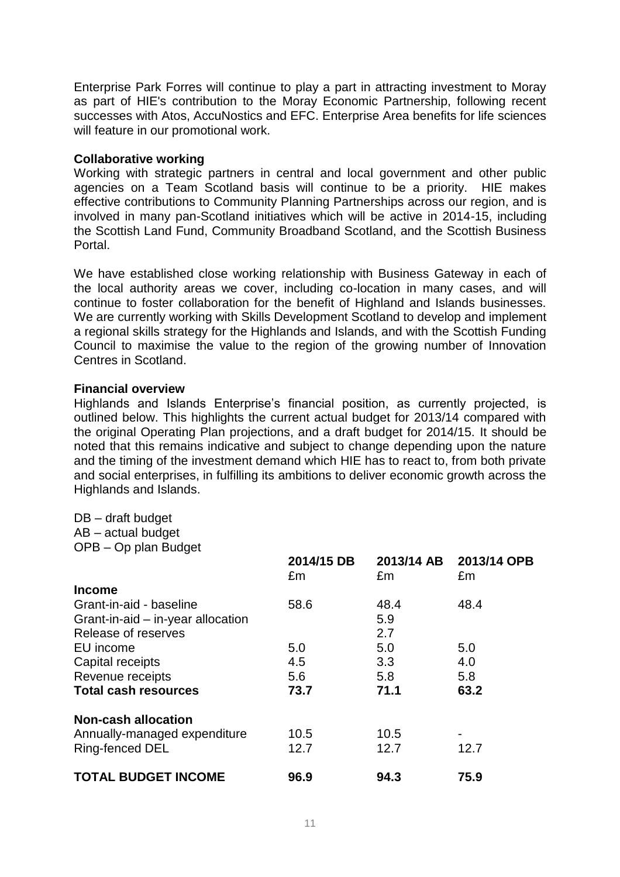Enterprise Park Forres will continue to play a part in attracting investment to Moray as part of HIE's contribution to the Moray Economic Partnership, following recent successes with Atos, AccuNostics and EFC. Enterprise Area benefits for life sciences will feature in our promotional work.

# **Collaborative working**

Working with strategic partners in central and local government and other public agencies on a Team Scotland basis will continue to be a priority. HIE makes effective contributions to Community Planning Partnerships across our region, and is involved in many pan-Scotland initiatives which will be active in 2014-15, including the Scottish Land Fund, Community Broadband Scotland, and the Scottish Business Portal.

We have established close working relationship with Business Gateway in each of the local authority areas we cover, including co-location in many cases, and will continue to foster collaboration for the benefit of Highland and Islands businesses. We are currently working with Skills Development Scotland to develop and implement a regional skills strategy for the Highlands and Islands, and with the Scottish Funding Council to maximise the value to the region of the growing number of Innovation Centres in Scotland.

# **Financial overview**

Highlands and Islands Enterprise's financial position, as currently projected, is outlined below. This highlights the current actual budget for 2013/14 compared with the original Operating Plan projections, and a draft budget for 2014/15. It should be noted that this remains indicative and subject to change depending upon the nature and the timing of the investment demand which HIE has to react to, from both private and social enterprises, in fulfilling its ambitions to deliver economic growth across the Highlands and Islands.

DB – draft budget AB – actual budget OPB – Op plan Budget

|                                   | 2014/15 DB<br>£m | 2013/14 AB<br>£m | 2013/14 OPB<br>£m |
|-----------------------------------|------------------|------------------|-------------------|
| <b>Income</b>                     |                  |                  |                   |
| Grant-in-aid - baseline           | 58.6             | 48.4             | 48.4              |
| Grant-in-aid – in-year allocation |                  | 5.9              |                   |
| Release of reserves               |                  | 2.7              |                   |
| EU income                         | 5.0              | 5.0              | 5.0               |
| Capital receipts                  | 4.5              | 3.3 <sub>2</sub> | 4.0               |
| Revenue receipts                  | 5.6              | 5.8              | 5.8               |
| <b>Total cash resources</b>       | 73.7             | 71.1             | 63.2              |
| <b>Non-cash allocation</b>        |                  |                  |                   |
| Annually-managed expenditure      | 10.5             | 10.5             |                   |
| Ring-fenced DEL                   | 12.7             | 12.7             | 12.7              |
| <b>TOTAL BUDGET INCOME</b>        | 96.9             | 94.3             | 75.9              |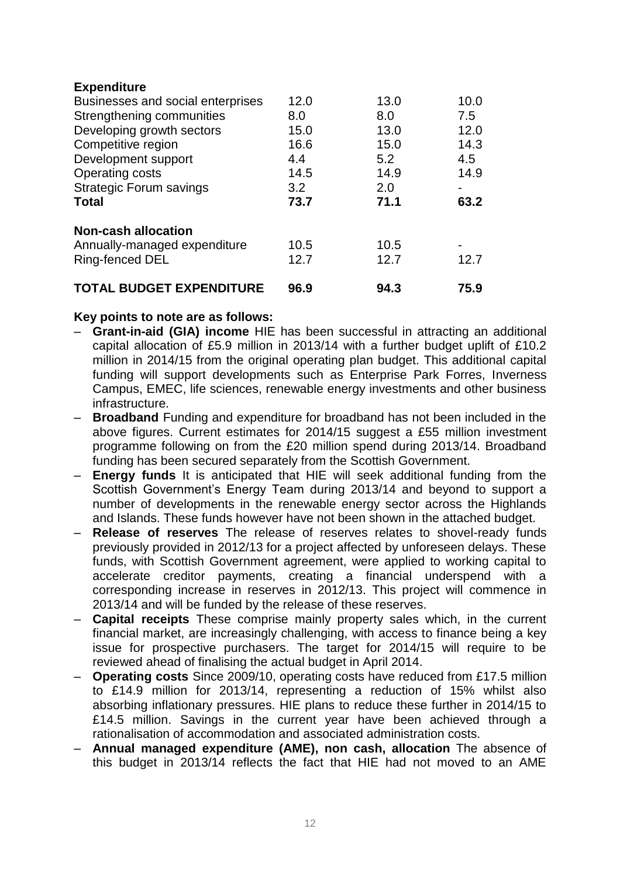| <b>Expenditure</b>                |      |      |      |
|-----------------------------------|------|------|------|
| Businesses and social enterprises | 12.0 | 13.0 | 10.0 |
| Strengthening communities         | 8.0  | 8.0  | 7.5  |
| Developing growth sectors         | 15.0 | 13.0 | 12.0 |
| Competitive region                | 16.6 | 15.0 | 14.3 |
| Development support               | 4.4  | 5.2  | 4.5  |
| <b>Operating costs</b>            | 14.5 | 14.9 | 14.9 |
| <b>Strategic Forum savings</b>    | 3.2  | 2.0  |      |
| <b>Total</b>                      | 73.7 | 71.1 | 63.2 |
| <b>Non-cash allocation</b>        |      |      |      |
| Annually-managed expenditure      | 10.5 | 10.5 |      |
| Ring-fenced DEL                   | 12.7 | 12.7 | 12.7 |
| <b>TOTAL BUDGET EXPENDITURE</b>   | 96.9 | 94.3 | 75.9 |

# **Key points to note are as follows:**

- **Grant-in-aid (GIA) income** HIE has been successful in attracting an additional capital allocation of £5.9 million in 2013/14 with a further budget uplift of £10.2 million in 2014/15 from the original operating plan budget. This additional capital funding will support developments such as Enterprise Park Forres, Inverness Campus, EMEC, life sciences, renewable energy investments and other business infrastructure.
- **Broadband** Funding and expenditure for broadband has not been included in the above figures. Current estimates for 2014/15 suggest a £55 million investment programme following on from the £20 million spend during 2013/14. Broadband funding has been secured separately from the Scottish Government.
- **Energy funds** It is anticipated that HIE will seek additional funding from the Scottish Government's Energy Team during 2013/14 and beyond to support a number of developments in the renewable energy sector across the Highlands and Islands. These funds however have not been shown in the attached budget.
- **Release of reserves** The release of reserves relates to shovel-ready funds previously provided in 2012/13 for a project affected by unforeseen delays. These funds, with Scottish Government agreement, were applied to working capital to accelerate creditor payments, creating a financial underspend with a corresponding increase in reserves in 2012/13. This project will commence in 2013/14 and will be funded by the release of these reserves.
- **Capital receipts** These comprise mainly property sales which, in the current financial market, are increasingly challenging, with access to finance being a key issue for prospective purchasers. The target for 2014/15 will require to be reviewed ahead of finalising the actual budget in April 2014.
- **Operating costs** Since 2009/10, operating costs have reduced from £17.5 million to £14.9 million for 2013/14, representing a reduction of 15% whilst also absorbing inflationary pressures. HIE plans to reduce these further in 2014/15 to £14.5 million. Savings in the current year have been achieved through a rationalisation of accommodation and associated administration costs.
- **Annual managed expenditure (AME), non cash, allocation** The absence of this budget in 2013/14 reflects the fact that HIE had not moved to an AME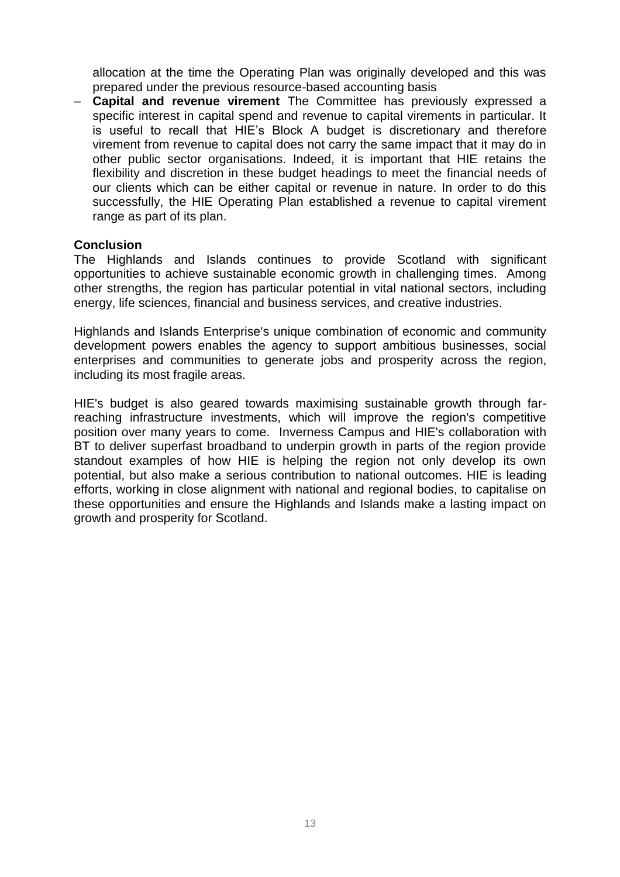allocation at the time the Operating Plan was originally developed and this was prepared under the previous resource-based accounting basis

– **Capital and revenue virement** The Committee has previously expressed a specific interest in capital spend and revenue to capital virements in particular. It is useful to recall that HIE's Block A budget is discretionary and therefore virement from revenue to capital does not carry the same impact that it may do in other public sector organisations. Indeed, it is important that HIE retains the flexibility and discretion in these budget headings to meet the financial needs of our clients which can be either capital or revenue in nature. In order to do this successfully, the HIE Operating Plan established a revenue to capital virement range as part of its plan.

### **Conclusion**

The Highlands and Islands continues to provide Scotland with significant opportunities to achieve sustainable economic growth in challenging times. Among other strengths, the region has particular potential in vital national sectors, including energy, life sciences, financial and business services, and creative industries.

Highlands and Islands Enterprise's unique combination of economic and community development powers enables the agency to support ambitious businesses, social enterprises and communities to generate jobs and prosperity across the region, including its most fragile areas.

HIE's budget is also geared towards maximising sustainable growth through farreaching infrastructure investments, which will improve the region's competitive position over many years to come. Inverness Campus and HIE's collaboration with BT to deliver superfast broadband to underpin growth in parts of the region provide standout examples of how HIE is helping the region not only develop its own potential, but also make a serious contribution to national outcomes. HIE is leading efforts, working in close alignment with national and regional bodies, to capitalise on these opportunities and ensure the Highlands and Islands make a lasting impact on growth and prosperity for Scotland.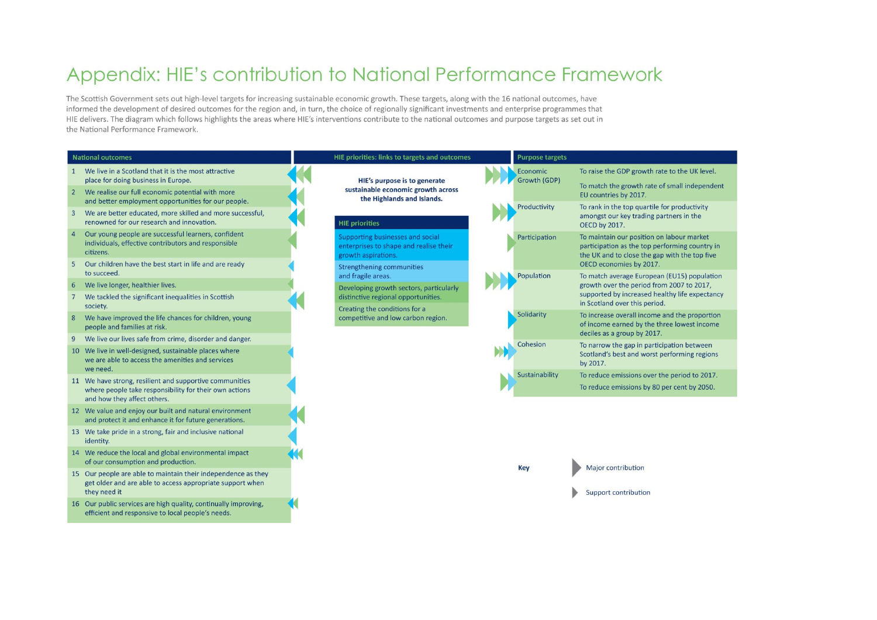# Appendix: HIE's contribution to National Performance Framework

The Scottish Government sets out high-level targets for increasing sustainable economic growth. These targets, along with the 16 national outcomes, have informed the development of desired outcomes for the region and, in turn, the choice of regionally significant investments and enterprise programmes that HIE delivers. The diagram which follows highlights the areas where HIE's interventions contribute to the national outcomes and purpose targets as set out in the National Performance Framework.



- 13 We take pride in a strong, fair and inclusive national identity.
- 14 We reduce the local and global environmental impact of our consumption and production.
- 15 Our people are able to maintain their independence as they get older and are able to access appropriate support when they need it
- 16 Our public services are high quality, continually improving, efficient and responsive to local people's needs.

**Key** 

Major contribution

Support contribution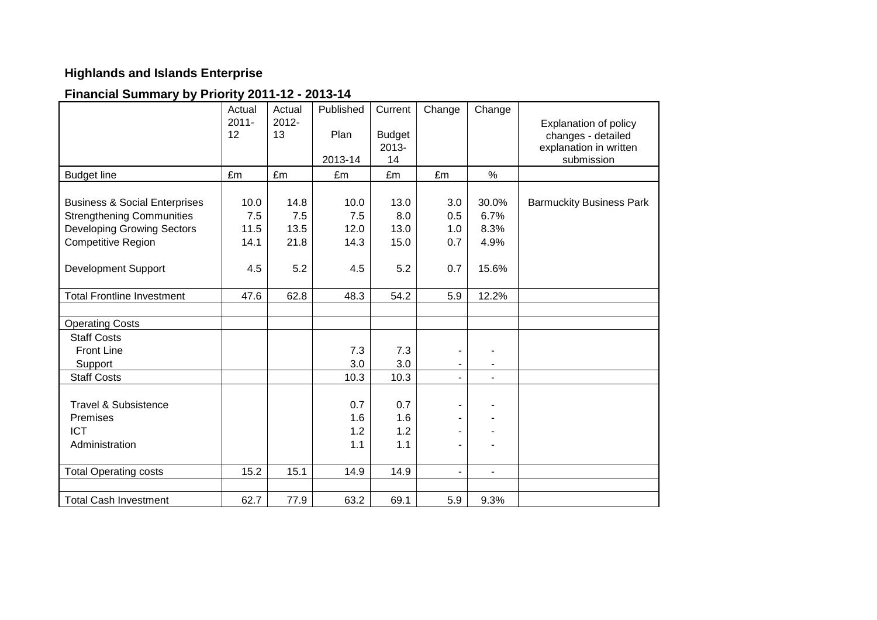# **Highlands and Islands Enterprise**

# **Financial Summary by Priority 2011-12 - 2013-14**

|                                                                              | Actual<br>$2011 -$<br>12 | Actual<br>$2012 -$<br>13 | Published<br>Plan | Current<br><b>Budget</b><br>2013- | Change                   | Change         | Explanation of policy<br>changes - detailed<br>explanation in written |
|------------------------------------------------------------------------------|--------------------------|--------------------------|-------------------|-----------------------------------|--------------------------|----------------|-----------------------------------------------------------------------|
|                                                                              |                          |                          | 2013-14           | 14                                |                          |                | submission                                                            |
| <b>Budget line</b>                                                           | £m                       | £m                       | £m                | £m                                | £m                       | $\%$           |                                                                       |
| <b>Business &amp; Social Enterprises</b><br><b>Strengthening Communities</b> | 10.0<br>7.5              | 14.8<br>7.5              | 10.0<br>7.5       | 13.0<br>8.0                       | 3.0<br>0.5               | 30.0%<br>6.7%  | <b>Barmuckity Business Park</b>                                       |
| <b>Developing Growing Sectors</b>                                            | 11.5                     | 13.5                     | 12.0              | 13.0                              | 1.0                      | 8.3%           |                                                                       |
| <b>Competitive Region</b>                                                    | 14.1                     | 21.8                     | 14.3              | 15.0                              | 0.7                      | 4.9%           |                                                                       |
| <b>Development Support</b>                                                   | 4.5                      | 5.2                      | 4.5               | 5.2                               | 0.7                      | 15.6%          |                                                                       |
| <b>Total Frontline Investment</b>                                            | 47.6                     | 62.8                     | 48.3              | 54.2                              | 5.9                      | 12.2%          |                                                                       |
|                                                                              |                          |                          |                   |                                   |                          |                |                                                                       |
| <b>Operating Costs</b>                                                       |                          |                          |                   |                                   |                          |                |                                                                       |
| <b>Staff Costs</b>                                                           |                          |                          |                   |                                   |                          |                |                                                                       |
| <b>Front Line</b>                                                            |                          |                          | 7.3               | 7.3                               |                          |                |                                                                       |
| Support                                                                      |                          |                          | 3.0               | 3.0                               |                          |                |                                                                       |
| <b>Staff Costs</b>                                                           |                          |                          | 10.3              | 10.3                              | $\overline{\phantom{0}}$ | $\blacksquare$ |                                                                       |
| <b>Travel &amp; Subsistence</b>                                              |                          |                          | 0.7               | 0.7                               | $\blacksquare$           |                |                                                                       |
| Premises                                                                     |                          |                          | 1.6               | 1.6                               | $\blacksquare$           |                |                                                                       |
| <b>ICT</b>                                                                   |                          |                          | 1.2               | 1.2                               | -                        |                |                                                                       |
| Administration                                                               |                          |                          | 1.1               | 1.1                               | $\blacksquare$           |                |                                                                       |
| <b>Total Operating costs</b>                                                 | 15.2                     | 15.1                     | 14.9              | 14.9                              | $\blacksquare$           | $\blacksquare$ |                                                                       |
|                                                                              |                          |                          |                   |                                   |                          |                |                                                                       |
| <b>Total Cash Investment</b>                                                 | 62.7                     | 77.9                     | 63.2              | 69.1                              | 5.9                      | 9.3%           |                                                                       |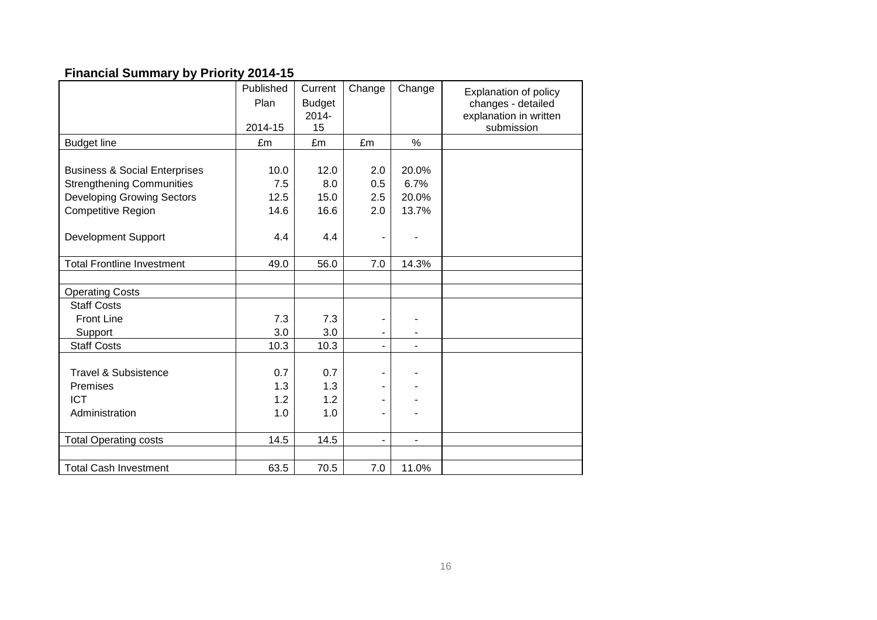# **Financial Summary by Priority 2014-15**

|                                          | Published | Current       | Change                   | Change         | <b>Explanation of policy</b> |
|------------------------------------------|-----------|---------------|--------------------------|----------------|------------------------------|
|                                          | Plan      | <b>Budget</b> |                          |                | changes - detailed           |
|                                          |           | 2014-         |                          |                | explanation in written       |
|                                          | 2014-15   | 15            |                          |                | submission                   |
| <b>Budget line</b>                       | £m        | £m            | £m                       | %              |                              |
|                                          |           |               |                          |                |                              |
| <b>Business &amp; Social Enterprises</b> | 10.0      | 12.0          | 2.0                      | 20.0%          |                              |
| <b>Strengthening Communities</b>         | 7.5       | 8.0           | 0.5                      | 6.7%           |                              |
| <b>Developing Growing Sectors</b>        | 12.5      | 15.0          | 2.5                      | 20.0%          |                              |
| <b>Competitive Region</b>                | 14.6      | 16.6          | 2.0                      | 13.7%          |                              |
|                                          |           |               |                          |                |                              |
| Development Support                      | 4.4       | 4.4           | ÷                        |                |                              |
|                                          |           |               |                          |                |                              |
| <b>Total Frontline Investment</b>        | 49.0      | 56.0          | 7.0                      | 14.3%          |                              |
|                                          |           |               |                          |                |                              |
| <b>Operating Costs</b>                   |           |               |                          |                |                              |
| <b>Staff Costs</b>                       |           |               |                          |                |                              |
| <b>Front Line</b>                        | 7.3       | 7.3           | -                        |                |                              |
| Support                                  | 3.0       | 3.0           | ۰                        |                |                              |
| <b>Staff Costs</b>                       | 10.3      | 10.3          | $\overline{\phantom{a}}$ | $\blacksquare$ |                              |
|                                          |           |               |                          |                |                              |
| <b>Travel &amp; Subsistence</b>          | 0.7       | 0.7           | -                        |                |                              |
| Premises                                 | 1.3       | 1.3           | -                        |                |                              |
| <b>ICT</b>                               | 1.2       | 1.2           | ۰                        |                |                              |
| Administration                           | 1.0       | 1.0           | -                        |                |                              |
|                                          |           |               |                          |                |                              |
| <b>Total Operating costs</b>             | 14.5      | 14.5          | -                        | ۰              |                              |
|                                          |           |               |                          |                |                              |
| <b>Total Cash Investment</b>             | 63.5      | 70.5          | 7.0                      | 11.0%          |                              |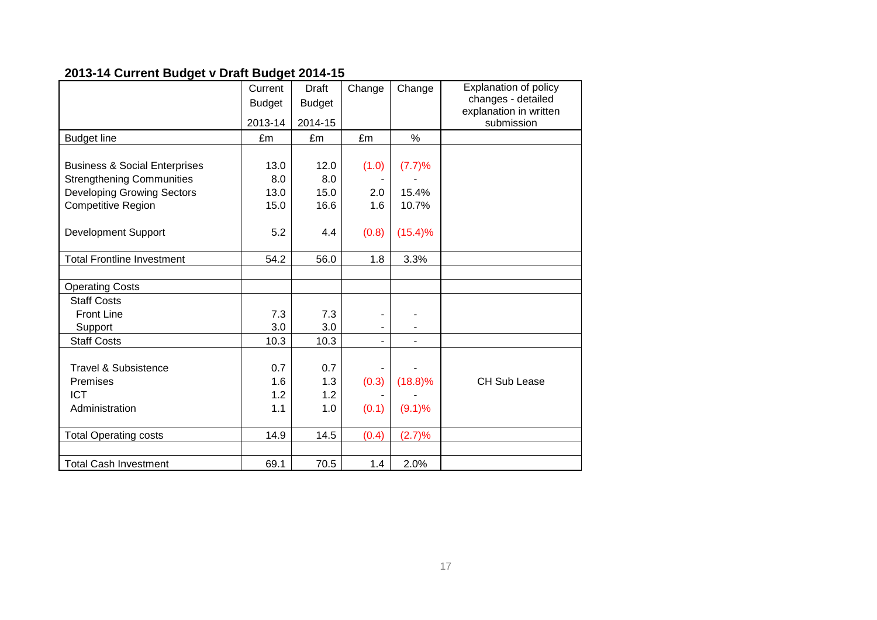# **2013-14 Current Budget v Draft Budget 2014-15**

|                                          | Current       | <b>Draft</b>  | Change                   | Change     | Explanation of policy  |
|------------------------------------------|---------------|---------------|--------------------------|------------|------------------------|
|                                          | <b>Budget</b> | <b>Budget</b> |                          |            | changes - detailed     |
|                                          |               |               |                          |            | explanation in written |
|                                          | 2013-14       | 2014-15       |                          |            | submission             |
| <b>Budget line</b>                       | £m            | £m            | £m                       | $\%$       |                        |
|                                          |               |               |                          |            |                        |
| <b>Business &amp; Social Enterprises</b> | 13.0          | 12.0          | (1.0)                    | (7.7)%     |                        |
| <b>Strengthening Communities</b>         | 8.0           | 8.0           |                          |            |                        |
| <b>Developing Growing Sectors</b>        | 13.0          | 15.0          | 2.0                      | 15.4%      |                        |
| <b>Competitive Region</b>                | 15.0          | 16.6          | 1.6                      | 10.7%      |                        |
|                                          |               |               |                          |            |                        |
| <b>Development Support</b>               | 5.2           | 4.4           | (0.8)                    | $(15.4)\%$ |                        |
|                                          |               |               |                          |            |                        |
| <b>Total Frontline Investment</b>        | 54.2          | 56.0          | 1.8                      | 3.3%       |                        |
|                                          |               |               |                          |            |                        |
| <b>Operating Costs</b>                   |               |               |                          |            |                        |
| <b>Staff Costs</b>                       |               |               |                          |            |                        |
| <b>Front Line</b>                        | 7.3           | 7.3           | ۰                        |            |                        |
| Support                                  | 3.0           | 3.0           | $\overline{\phantom{a}}$ |            |                        |
| <b>Staff Costs</b>                       | 10.3          | 10.3          | -                        |            |                        |
|                                          |               |               |                          |            |                        |
| <b>Travel &amp; Subsistence</b>          | 0.7           | 0.7           |                          |            |                        |
| Premises                                 | 1.6           | 1.3           | (0.3)                    | $(18.8)\%$ | <b>CH Sub Lease</b>    |
| <b>ICT</b>                               | 1.2           | 1.2           |                          |            |                        |
| Administration                           | 1.1           | 1.0           | (0.1)                    | (9.1)%     |                        |
|                                          |               |               |                          |            |                        |
| <b>Total Operating costs</b>             | 14.9          | 14.5          | (0.4)                    | (2.7)%     |                        |
|                                          |               |               |                          |            |                        |
| <b>Total Cash Investment</b>             | 69.1          | 70.5          | 1.4                      | 2.0%       |                        |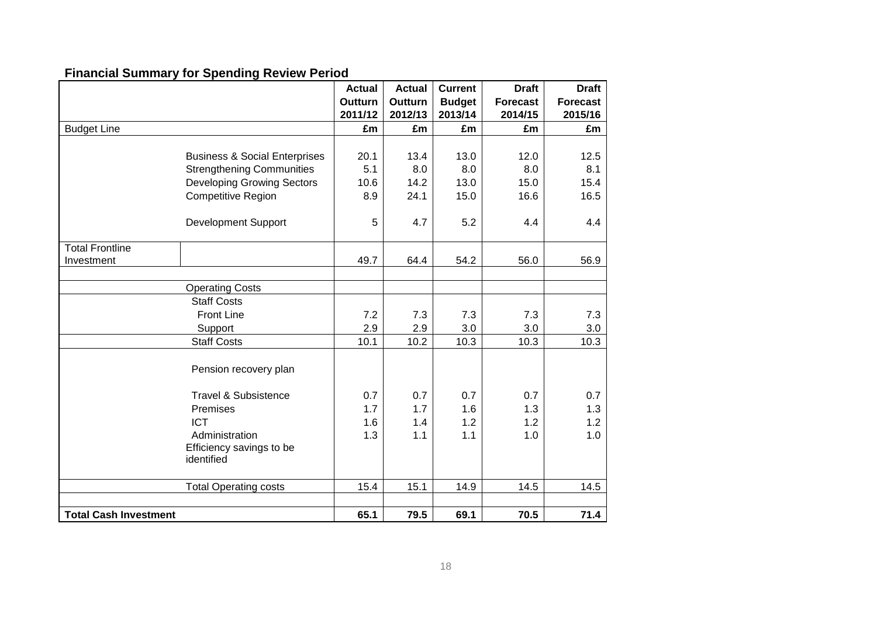# **Financial Summary for Spending Review Period**

|                              |                                          | <b>Actual</b> | <b>Actual</b> | <b>Current</b> | <b>Draft</b>    | <b>Draft</b>    |
|------------------------------|------------------------------------------|---------------|---------------|----------------|-----------------|-----------------|
|                              |                                          | Outturn       | Outturn       | <b>Budget</b>  | <b>Forecast</b> | <b>Forecast</b> |
|                              |                                          | 2011/12       | 2012/13       | 2013/14        | 2014/15         | 2015/16         |
| <b>Budget Line</b>           |                                          | £m            | £m            | £m             | £m              | £m              |
|                              |                                          |               |               |                |                 |                 |
|                              | <b>Business &amp; Social Enterprises</b> | 20.1          | 13.4          | 13.0           | 12.0            | 12.5            |
|                              | <b>Strengthening Communities</b>         | 5.1           | 8.0           | 8.0            | 8.0             | 8.1             |
|                              | <b>Developing Growing Sectors</b>        | 10.6          | 14.2          | 13.0           | 15.0            | 15.4            |
|                              | <b>Competitive Region</b>                | 8.9           | 24.1          | 15.0           | 16.6            | 16.5            |
|                              | <b>Development Support</b>               | 5             | 4.7           | 5.2            | 4.4             | 4.4             |
| <b>Total Frontline</b>       |                                          |               |               |                |                 |                 |
| Investment                   |                                          | 49.7          | 64.4          | 54.2           | 56.0            | 56.9            |
|                              |                                          |               |               |                |                 |                 |
|                              | <b>Operating Costs</b>                   |               |               |                |                 |                 |
|                              | <b>Staff Costs</b>                       |               |               |                |                 |                 |
|                              | <b>Front Line</b>                        | 7.2           | 7.3           | 7.3            | 7.3             | 7.3             |
|                              | Support                                  | 2.9           | 2.9           | 3.0            | 3.0             | 3.0             |
|                              | <b>Staff Costs</b>                       | 10.1          | 10.2          | 10.3           | 10.3            | 10.3            |
|                              | Pension recovery plan                    |               |               |                |                 |                 |
|                              | <b>Travel &amp; Subsistence</b>          | 0.7           | 0.7           | 0.7            | 0.7             | 0.7             |
|                              | Premises                                 | 1.7           | 1.7           | 1.6            | 1.3             | 1.3             |
|                              | <b>ICT</b>                               | 1.6           | 1.4           | 1.2            | 1.2             | 1.2             |
|                              | Administration                           | 1.3           | 1.1           | 1.1            | 1.0             | 1.0             |
|                              | Efficiency savings to be<br>identified   |               |               |                |                 |                 |
|                              | <b>Total Operating costs</b>             | 15.4          | 15.1          | 14.9           | 14.5            | 14.5            |
|                              |                                          |               |               |                |                 |                 |
| <b>Total Cash Investment</b> |                                          | 65.1          | 79.5          | 69.1           | 70.5            | 71.4            |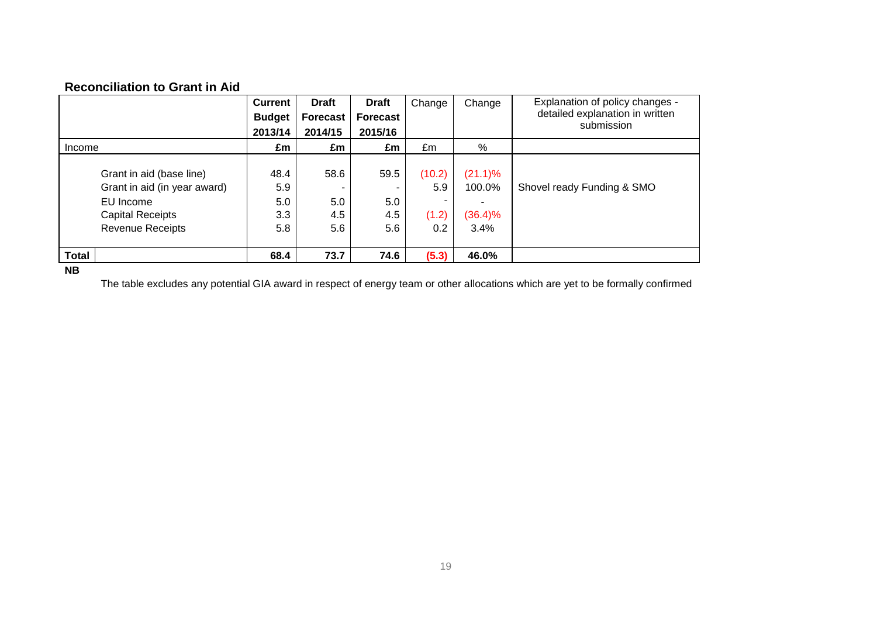# **Reconciliation to Grant in Aid**

|              |                              | <b>Current</b> | <b>Draft</b>    | <b>Draft</b>    | Change | Change     | Explanation of policy changes - |
|--------------|------------------------------|----------------|-----------------|-----------------|--------|------------|---------------------------------|
|              |                              | <b>Budget</b>  | <b>Forecast</b> | <b>Forecast</b> |        |            | detailed explanation in written |
|              |                              | 2013/14        | 2014/15         | 2015/16         |        |            | submission                      |
| Income       |                              | £m             | £m              | £m              | £m     | %          |                                 |
|              |                              |                |                 |                 |        |            |                                 |
|              | Grant in aid (base line)     | 48.4           | 58.6            | 59.5            | (10.2) | $(21.1)\%$ |                                 |
|              | Grant in aid (in year award) | 5.9            |                 |                 | 5.9    | 100.0%     | Shovel ready Funding & SMO      |
|              | EU Income                    | 5.0            | 5.0             | 5.0             |        |            |                                 |
|              | <b>Capital Receipts</b>      | 3.3            | 4.5             | 4.5             | (1.2)  | (36.4)%    |                                 |
|              | <b>Revenue Receipts</b>      | 5.8            | $5.6\,$         | 5.6             | 0.2    | 3.4%       |                                 |
|              |                              |                |                 |                 |        |            |                                 |
| <b>Total</b> |                              | 68.4           | 73.7            | 74.6            | (5.3)  | 46.0%      |                                 |
|              |                              |                |                 |                 |        |            |                                 |

**NB**

The table excludes any potential GIA award in respect of energy team or other allocations which are yet to be formally confirmed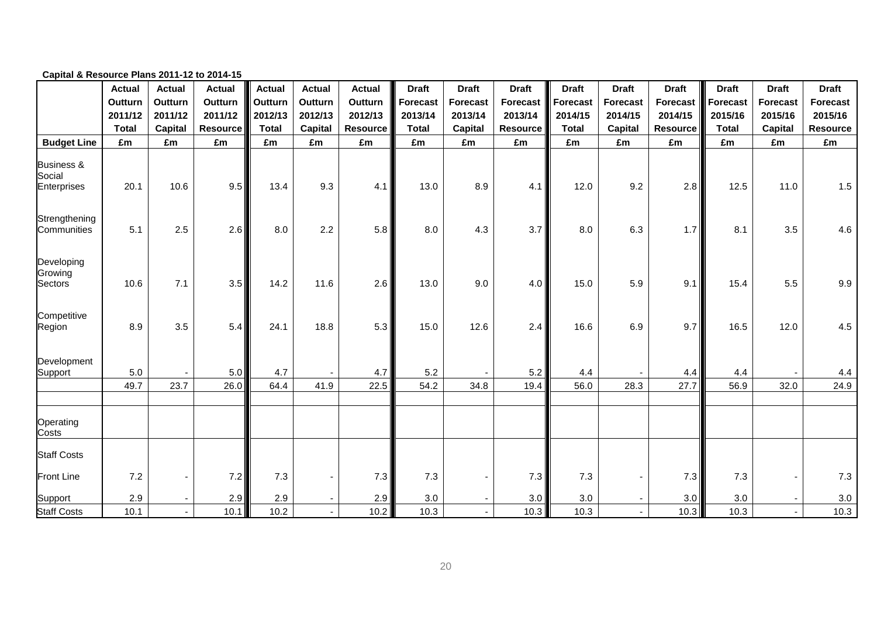|                                                | <b>Actual</b><br>Outturn<br>2011/12<br><b>Total</b> | <b>Actual</b><br>Outturn<br>2011/12<br>Capital | <b>Actual</b><br>Outturn<br>2011/12<br><b>Resource</b> | <b>Actual</b><br>Outturn<br>2012/13<br><b>Total</b> | <b>Actual</b><br>Outturn<br>2012/13<br><b>Capital</b> | <b>Actual</b><br>Outturn<br>2012/13<br><b>Resource</b> | <b>Draft</b><br><b>Forecast</b><br>2013/14<br><b>Total</b> | <b>Draft</b><br><b>Forecast</b><br>2013/14<br>Capital | <b>Draft</b><br><b>Forecast</b><br>2013/14<br><b>Resource</b> | <b>Draft</b><br><b>Forecast</b><br>2014/15<br><b>Total</b> | <b>Draft</b><br><b>Forecast</b><br>2014/15<br>Capital | <b>Draft</b><br><b>Forecast</b><br>2014/15<br><b>Resource</b> | <b>Draft</b><br><b>Forecast</b><br>2015/16<br><b>Total</b> | <b>Draft</b><br><b>Forecast</b><br>2015/16<br><b>Capital</b> | <b>Draft</b><br><b>Forecast</b><br>2015/16<br><b>Resource</b> |    |    |
|------------------------------------------------|-----------------------------------------------------|------------------------------------------------|--------------------------------------------------------|-----------------------------------------------------|-------------------------------------------------------|--------------------------------------------------------|------------------------------------------------------------|-------------------------------------------------------|---------------------------------------------------------------|------------------------------------------------------------|-------------------------------------------------------|---------------------------------------------------------------|------------------------------------------------------------|--------------------------------------------------------------|---------------------------------------------------------------|----|----|
| <b>Budget Line</b>                             | £m                                                  | £m                                             |                                                        |                                                     | £m                                                    | £m                                                     | £m                                                         | £m                                                    | £m                                                            | £m                                                         | £m                                                    | £m                                                            | £m                                                         | £m                                                           | £m                                                            | £m | £m |
| <b>Business &amp;</b><br>Social<br>Enterprises | 20.1                                                | 10.6                                           | 9.5                                                    | 13.4                                                | 9.3                                                   | 4.1                                                    | 13.0                                                       | 8.9                                                   | 4.1                                                           | 12.0                                                       | 9.2                                                   | 2.8                                                           | 12.5                                                       | 11.0                                                         | 1.5                                                           |    |    |
| Strengthening<br>Communities                   | 5.1                                                 | 2.5                                            | 2.6                                                    | 8.0                                                 | 2.2                                                   | 5.8                                                    | 8.0                                                        | 4.3                                                   | 3.7                                                           | 8.0                                                        | 6.3                                                   | 1.7                                                           | 8.1                                                        | 3.5                                                          | 4.6                                                           |    |    |
| Developing<br>Growing<br>Sectors               | 10.6                                                | 7.1                                            | 3.5                                                    | 14.2                                                | 11.6                                                  | 2.6                                                    | 13.0                                                       | 9.0                                                   | 4.0                                                           | 15.0                                                       | 5.9                                                   | 9.1                                                           | 15.4                                                       | 5.5                                                          | 9.9                                                           |    |    |
| Competitive<br>Region                          | 8.9                                                 | 3.5                                            | 5.4                                                    | 24.1                                                | 18.8                                                  | 5.3                                                    | 15.0                                                       | 12.6                                                  | 2.4                                                           | 16.6                                                       | 6.9                                                   | 9.7                                                           | 16.5                                                       | 12.0                                                         | 4.5                                                           |    |    |
| Development<br>Support                         | $5.0\,$                                             |                                                | 5.0                                                    | 4.7                                                 |                                                       | 4.7                                                    | 5.2                                                        |                                                       | 5.2                                                           | 4.4                                                        |                                                       | 4.4                                                           | 4.4                                                        |                                                              | 4.4                                                           |    |    |
|                                                | 49.7                                                | 23.7                                           | 26.0                                                   | 64.4                                                | 41.9                                                  | 22.5                                                   | 54.2                                                       | 34.8                                                  | 19.4                                                          | 56.0                                                       | 28.3                                                  | 27.7                                                          | 56.9                                                       | 32.0                                                         | 24.9                                                          |    |    |
| Operating<br>Costs                             |                                                     |                                                |                                                        |                                                     |                                                       |                                                        |                                                            |                                                       |                                                               |                                                            |                                                       |                                                               |                                                            |                                                              |                                                               |    |    |
| <b>Staff Costs</b>                             |                                                     |                                                |                                                        |                                                     |                                                       |                                                        |                                                            |                                                       |                                                               |                                                            |                                                       |                                                               |                                                            |                                                              |                                                               |    |    |
| Front Line                                     | 7.2                                                 |                                                | 7.2                                                    | 7.3                                                 |                                                       | 7.3                                                    | 7.3                                                        |                                                       | 7.3                                                           | 7.3                                                        |                                                       | 7.3                                                           | 7.3                                                        |                                                              | 7.3                                                           |    |    |
| Support                                        | 2.9                                                 |                                                | 2.9                                                    | 2.9                                                 |                                                       | 2.9                                                    | 3.0                                                        |                                                       | 3.0                                                           | 3.0                                                        |                                                       | 3.0                                                           | 3.0                                                        |                                                              | 3.0                                                           |    |    |
| <b>Staff Costs</b>                             | 10.1                                                |                                                | 10.1                                                   | 10.2                                                |                                                       | 10.2                                                   | 10.3                                                       |                                                       | 10.3                                                          | 10.3                                                       | $\blacksquare$                                        | 10.3                                                          | 10.3                                                       | $\mathbf{r}$                                                 | 10.3                                                          |    |    |

#### **Capital & Resource Plans 2011-12 to 2014-15**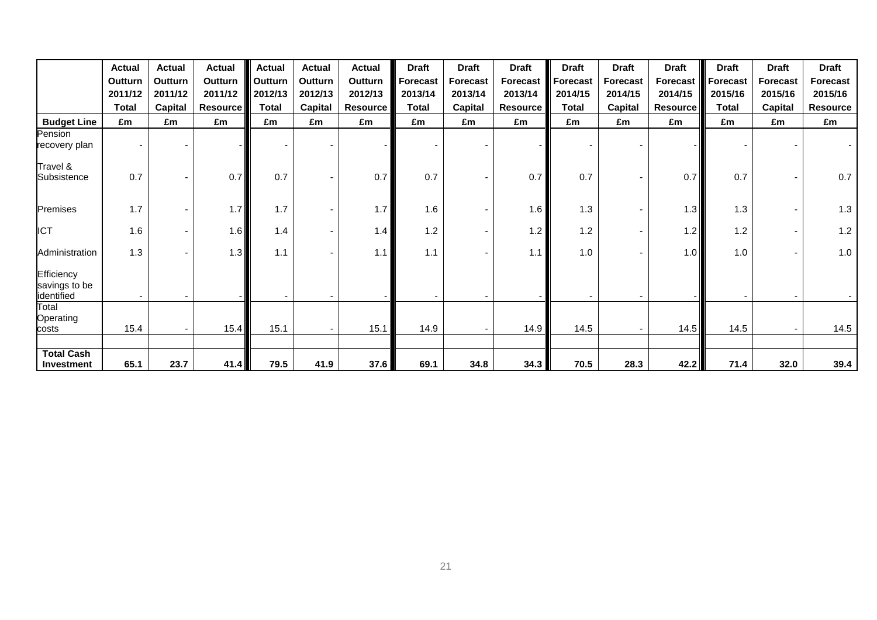|                                           | <b>Actual</b><br>Outturn<br>2011/12 | <b>Actual</b><br><b>Outturn</b><br>2011/12 | <b>Actual</b><br><b>Outturn</b><br>2011/12 | <b>Actual</b><br>Outturn<br>2012/13 | <b>Actual</b><br>Outturn<br>2012/13 | <b>Actual</b><br>Outturn<br>2012/13 | <b>Draft</b><br>Forecast<br>2013/14 | <b>Draft</b><br><b>Forecast</b><br>2013/14 | <b>Draft</b><br>Forecast<br>2013/14 | <b>Draft</b><br>Forecast<br>2014/15 | <b>Draft</b><br><b>Forecast</b><br>2014/15 | <b>Draft</b><br><b>Forecast</b><br>2014/15 | <b>Draft</b><br><b>Forecast</b><br>2015/16 | <b>Draft</b><br><b>Forecast</b><br>2015/16 | <b>Draft</b><br><b>Forecast</b><br>2015/16 |
|-------------------------------------------|-------------------------------------|--------------------------------------------|--------------------------------------------|-------------------------------------|-------------------------------------|-------------------------------------|-------------------------------------|--------------------------------------------|-------------------------------------|-------------------------------------|--------------------------------------------|--------------------------------------------|--------------------------------------------|--------------------------------------------|--------------------------------------------|
|                                           | <b>Total</b>                        | <b>Capital</b>                             | <b>Resource</b>                            | <b>Total</b>                        | Capital                             | <b>Resource</b>                     | <b>Total</b>                        | <b>Capital</b>                             | <b>Resource</b>                     | <b>Total</b>                        | <b>Capital</b>                             | <b>Resource</b>                            | <b>Total</b>                               | Capital                                    | <b>Resource</b>                            |
| <b>Budget Line</b>                        | £m                                  | £m                                         | £m                                         | £m                                  | £m                                  | £m                                  | £m                                  | £m                                         | £m                                  | £m                                  | £m                                         | £m                                         | £m                                         | £m                                         | £m                                         |
| Pension<br>recovery plan                  |                                     |                                            |                                            |                                     |                                     |                                     | $\blacksquare$                      |                                            |                                     |                                     |                                            |                                            |                                            |                                            |                                            |
| Travel &<br>Subsistence                   | 0.7                                 |                                            | 0.7                                        | 0.7                                 |                                     | 0.7                                 | 0.7                                 |                                            | 0.7                                 | 0.7                                 |                                            | 0.7                                        | 0.7                                        |                                            | 0.7                                        |
| Premises                                  | 1.7                                 |                                            | 1.7                                        | 1.7                                 |                                     | 1.7                                 | 1.6                                 |                                            | 1.6                                 | 1.3                                 |                                            | 1.3                                        | 1.3                                        |                                            | 1.3                                        |
| <b>ICT</b>                                | 1.6                                 |                                            | 1.6                                        | 1.4                                 |                                     | 1.4                                 | 1.2                                 |                                            | 1.2                                 | 1.2                                 |                                            | 1.2                                        | 1.2                                        |                                            | 1.2                                        |
| Administration                            | 1.3                                 |                                            | 1.3                                        | 1.1                                 |                                     | 1.1                                 | 1.1                                 |                                            | 1.1                                 | 1.0                                 |                                            | 1.0                                        | 1.0                                        |                                            | 1.0                                        |
| Efficiency<br>savings to be<br>identified |                                     |                                            |                                            |                                     |                                     |                                     |                                     |                                            |                                     |                                     |                                            |                                            |                                            |                                            |                                            |
| Total<br>Operating<br>costs               | 15.4                                |                                            | 15.4                                       | 15.1                                |                                     | 15.1                                | 14.9                                |                                            | 14.9                                | 14.5                                |                                            | 14.5                                       | 14.5                                       |                                            | 14.5                                       |
| <b>Total Cash</b><br>Investment           | 65.1                                | 23.7                                       | 41.4                                       | 79.5                                | 41.9                                | 37.6                                | 69.1                                | 34.8                                       | 34.3                                | 70.5                                | 28.3                                       | 42.2                                       | 71.4                                       | 32.0                                       | 39.4                                       |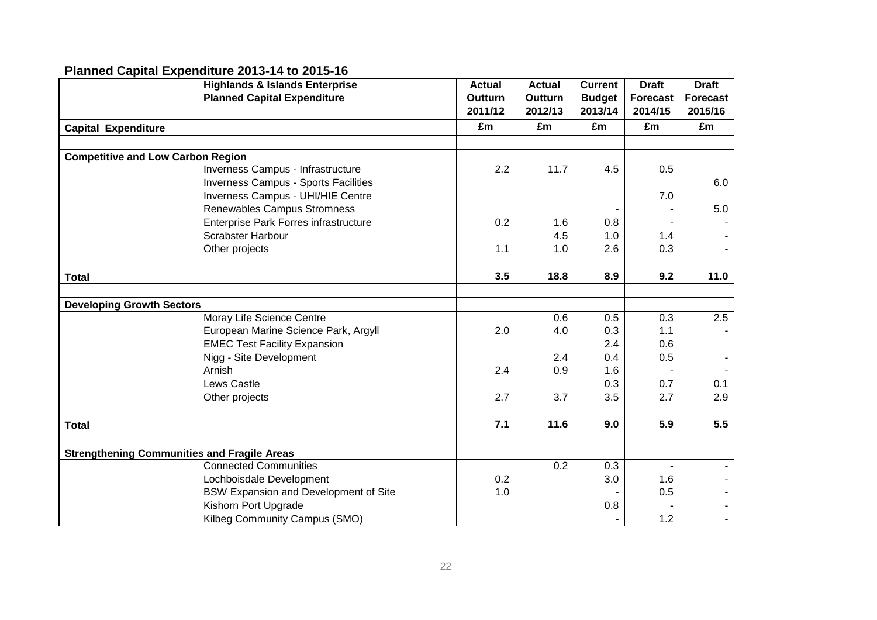# **Planned Capital Expenditure 2013-14 to 2015-16**

|                                                    | <b>Highlands &amp; Islands Enterprise</b>    | <b>Actual</b>  | <b>Actual</b> | <b>Current</b> | <b>Draft</b>    | <b>Draft</b>    |  |
|----------------------------------------------------|----------------------------------------------|----------------|---------------|----------------|-----------------|-----------------|--|
|                                                    | <b>Planned Capital Expenditure</b>           | <b>Outturn</b> | Outturn       | <b>Budget</b>  | <b>Forecast</b> | <b>Forecast</b> |  |
|                                                    |                                              | 2011/12        | 2012/13       | 2013/14        | 2014/15         | 2015/16         |  |
| <b>Capital Expenditure</b>                         |                                              | £m             | £m            | £m             | £m              | £m              |  |
|                                                    |                                              |                |               |                |                 |                 |  |
| <b>Competitive and Low Carbon Region</b>           |                                              |                |               |                |                 |                 |  |
|                                                    | Inverness Campus - Infrastructure            | 2.2            | 11.7          | 4.5            | 0.5             |                 |  |
|                                                    | Inverness Campus - Sports Facilities         |                |               |                |                 | 6.0             |  |
|                                                    | Inverness Campus - UHI/HIE Centre            |                |               |                | 7.0             |                 |  |
|                                                    | Renewables Campus Stromness                  |                |               |                |                 | 5.0             |  |
|                                                    | Enterprise Park Forres infrastructure        | 0.2            | 1.6           | 0.8            |                 |                 |  |
|                                                    | <b>Scrabster Harbour</b>                     |                | 4.5           | 1.0            | 1.4             |                 |  |
|                                                    | Other projects                               | 1.1            | 1.0           | 2.6            | 0.3             |                 |  |
|                                                    |                                              |                |               |                |                 |                 |  |
| <b>Total</b>                                       |                                              | 3.5            | 18.8          | 8.9            | 9.2             | 11.0            |  |
|                                                    |                                              |                |               |                |                 |                 |  |
| <b>Developing Growth Sectors</b>                   |                                              |                |               |                |                 |                 |  |
|                                                    | Moray Life Science Centre                    |                | 0.6           | 0.5            | 0.3             | 2.5             |  |
|                                                    | European Marine Science Park, Argyll         | 2.0            | 4.0           | 0.3            | 1.1             |                 |  |
|                                                    | <b>EMEC Test Facility Expansion</b>          |                |               | 2.4            | 0.6             |                 |  |
|                                                    | Nigg - Site Development                      |                | 2.4           | 0.4            | 0.5             |                 |  |
|                                                    | Arnish                                       | 2.4            | 0.9           | 1.6            |                 |                 |  |
|                                                    | Lews Castle                                  |                |               | 0.3            | 0.7             | 0.1             |  |
|                                                    | Other projects                               | 2.7            | 3.7           | 3.5            | 2.7             | 2.9             |  |
|                                                    |                                              |                |               |                |                 |                 |  |
| <b>Total</b>                                       |                                              | 7.1            | 11.6          | 9.0            | 5.9             | 5.5             |  |
|                                                    |                                              |                |               |                |                 |                 |  |
| <b>Strengthening Communities and Fragile Areas</b> |                                              |                |               |                |                 |                 |  |
|                                                    | <b>Connected Communities</b>                 |                | 0.2           | 0.3            |                 |                 |  |
|                                                    | Lochboisdale Development                     | 0.2            |               | 3.0            | 1.6             |                 |  |
|                                                    | <b>BSW Expansion and Development of Site</b> | 1.0            |               |                | 0.5             |                 |  |
|                                                    | Kishorn Port Upgrade                         |                |               | 0.8            |                 |                 |  |
|                                                    | Kilbeg Community Campus (SMO)                |                |               |                | 1.2             |                 |  |